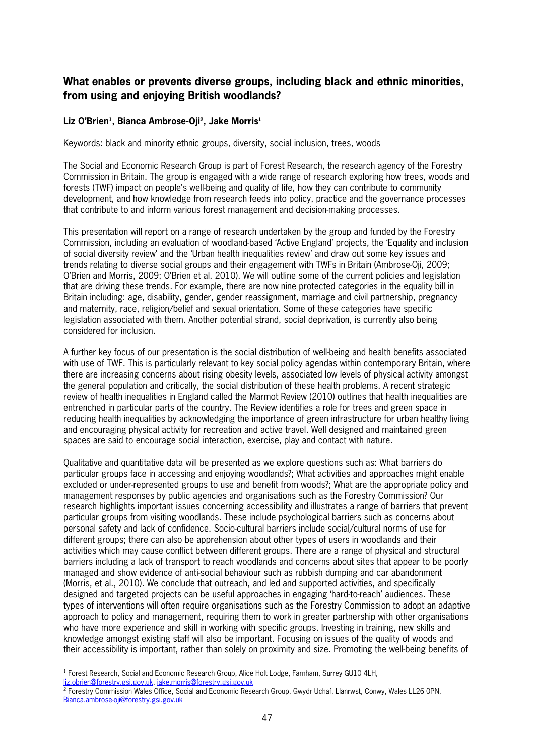## **What enables or prevents diverse groups, including black and ethnic minorities, from using and enjoying British woodlands?**

## **Liz O'Brien<sup>1</sup> , Bianca Ambrose<Oji<sup>2</sup> , Jake Morris<sup>1</sup>**

Keywords: black and minority ethnic groups, diversity, social inclusion, trees, woods

The Social and Economic Research Group is part of Forest Research, the research agency of the Forestry Commission in Britain. The group is engaged with a wide range of research exploring how trees, woods and forests (TWF) impact on people's well-being and quality of life, how they can contribute to community development, and how knowledge from research feeds into policy, practice and the governance processes that contribute to and inform various forest management and decision-making processes.

This presentation will report on a range of research undertaken by the group and funded by the Forestry Commission, including an evaluation of woodland-based 'Active England' projects, the 'Equality and inclusion of social diversity review' and the 'Urban health inequalities review' and draw out some key issues and trends relating to diverse social groups and their engagement with TWFs in Britain (AmbroseOji, 2009; O'Brien and Morris, 2009; O'Brien et al. 2010). We will outline some of the current policies and legislation that are driving these trends. For example, there are now nine protected categories in the equality bill in Britain including: age, disability, gender, gender reassignment, marriage and civil partnership, pregnancy and maternity, race, religion/belief and sexual orientation. Some of these categories have specific legislation associated with them. Another potential strand, social deprivation, is currently also being considered for inclusion.

A further key focus of our presentation is the social distribution of well-being and health benefits associated with use of TWF. This is particularly relevant to key social policy agendas within contemporary Britain, where there are increasing concerns about rising obesity levels, associated low levels of physical activity amongst the general population and critically, the social distribution of these health problems. A recent strategic review of health inequalities in England called the Marmot Review (2010) outlines that health inequalities are entrenched in particular parts of the country. The Review identifies a role for trees and green space in reducing health inequalities by acknowledging the importance of green infrastructure for urban healthy living and encouraging physical activity for recreation and active travel. Well designed and maintained green spaces are said to encourage social interaction, exercise, play and contact with nature.

Qualitative and quantitative data will be presented as we explore questions such as: What barriers do particular groups face in accessing and enjoying woodlands?; What activities and approaches might enable excluded or under-represented groups to use and benefit from woods?; What are the appropriate policy and management responses by public agencies and organisations such as the Forestry Commission? Our research highlights important issues concerning accessibility and illustrates a range of barriers that prevent particular groups from visiting woodlands. These include psychological barriers such as concerns about personal safety and lack of confidence. Sociocultural barriers include social/cultural norms of use for different groups; there can also be apprehension about other types of users in woodlands and their activities which may cause conflict between different groups. There are a range of physical and structural barriers including a lack of transport to reach woodlands and concerns about sites that appear to be poorly managed and show evidence of antisocial behaviour such as rubbish dumping and car abandonment (Morris, et al., 2010). We conclude that outreach, and led and supported activities, and specifically designed and targeted projects can be useful approaches in engaging 'hardtoreach' audiences. These types of interventions will often require organisations such as the Forestry Commission to adopt an adaptive approach to policy and management, requiring them to work in greater partnership with other organisations who have more experience and skill in working with specific groups. Investing in training, new skills and knowledge amongst existing staff will also be important. Focusing on issues of the quality of woods and their accessibility is important, rather than solely on proximity and size. Promoting the wellbeing benefits of

l

<sup>&</sup>lt;sup>1</sup> Forest Research, Social and Economic Research Group, Alice Holt Lodge, Farnham, Surrey GU10 4LH, liz.obrien@forestry.gsi.gov.uk, jake.morris@forestry.gsi.gov.uk

<sup>2</sup> Forestry Commission Wales Office, Social and Economic Research Group, Gwydr Uchaf, Llanrwst, Conwy, Wales LL26 0PN, Bianca.ambrose-oji@forestry.gsi.gov.uk